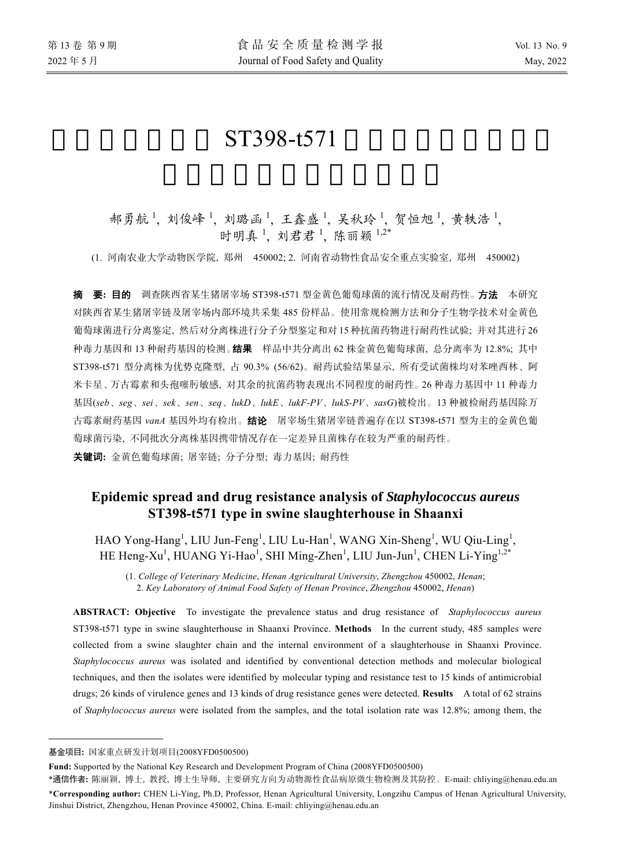# ST398-t571

# 郝勇航1, 刘俊峰1, 刘璐函1, 王鑫盛1, 吴秋玲1, 贺恒旭1, 黄轶浩1, 时明真<sup>1</sup>, 刘君君<sup>1</sup>, 陈丽颖<sup>1,2\*</sup>

(1. 河南农业大学动物医学院, 郑州 450002; 2. 河南省动物性食品安全重点实验室, 郑州 450002)

摘要**:** 目的 调查陕西省某生猪屠宰场 ST398-t571 型金黄色葡萄球菌的流行情况及耐药性。方法 本研究 对陕西省某生猪屠宰链及屠宰场内部环境共采集 485 份样品。使用常规检测方法和分子生物学技术对金黄色 葡萄球菌进行分离鉴定, 然后对分离株进行分子分型鉴定和对 15 种抗菌药物进行耐药性试验; 并对其进行 26 种毒力基因和 13 种耐药基因的检测。结果 样品中共分离出 62 株金黄色葡萄球菌, 总分离率为 12.8%; 其中 ST398-t571 型分离株为优势克隆型, 占 90.3% (56/62)。耐药试验结果显示, 所有受试菌株均对苯唑西林、阿 米卡星、万古霉素和头孢噻肟敏感, 对其余的抗菌药物表现出不同程度的耐药性。26 种毒力基因中 11 种毒力 基因(*seb*、*seg*、*sei*、*sek*、*sen*、*seq*、*lukD*、*lukE*、*lukF-PV*、*lukS-PV*、*sasG*)被检出。13 种被检耐药基因除万 古霉素耐药基因 *vanA* 基因外均有检出。结论 屠宰场生猪屠宰链普遍存在以 ST398-t571 型为主的金黄色葡 萄球菌污染, 不同批次分离株基因携带情况存在一定差异且菌株存在较为严重的耐药性。 关键词**:** 金黄色葡萄球菌; 屠宰链; 分子分型; 毒力基因; 耐药性

# **Epidemic spread and drug resistance analysis of** *Staphylococcus aureus* **ST398-t571 type in swine slaughterhouse in Shaanxi**

 $HAO$  Yong-Hang<sup>1</sup>, LIU Jun-Feng<sup>1</sup>, LIU Lu-Han<sup>1</sup>, WANG Xin-Sheng<sup>1</sup>, WU Qiu-Ling<sup>1</sup>, HE Heng-Xu<sup>1</sup>, HUANG Yi-Hao<sup>1</sup>, SHI Ming-Zhen<sup>1</sup>, LIU Jun-Jun<sup>1</sup>, CHEN Li-Ying<sup>1,2\*</sup>

(1. *College of Veterinary Medicine*, *Henan Agricultural University*, *Zhengzhou* 450002, *Henan*; 2. *Key Laboratory of Animal Food Safety of Henan Province*, *Zhengzhou* 450002, *Henan*)

**ABSTRACT: Objective** To investigate the prevalence status and drug resistance of *Staphylococcus aureus* ST398-t571 type in swine slaughterhouse in Shaanxi Province. **Methods** In the current study, 485 samples were collected from a swine slaughter chain and the internal environment of a slaughterhouse in Shaanxi Province. *Staphylococcus aureus* was isolated and identified by conventional detection methods and molecular biological techniques, and then the isolates were identified by molecular typing and resistance test to 15 kinds of antimicrobial drugs; 26 kinds of virulence genes and 13 kinds of drug resistance genes were detected. **Results** A total of 62 strains of *Staphylococcus aureus* were isolated from the samples, and the total isolation rate was 12.8%; among them, the

 $\overline{a}$ 

\*通信作者**:** 陈丽颖, 博士, 教授, 博士生导师, 主要研究方向为动物源性食品病原微生物检测及其防控。E-mail: chliying@henau.edu.an \***Corresponding author:** CHEN Li-Ying, Ph.D, Professor, Henan Agricultural University, Longzihu Campus of Henan Agricultural University, Jinshui District, Zhengzhou, Henan Province 450002, China. E-mail: chliying@henau.edu.an

基金项目**:** 国家重点研发计划项目(2008YFD0500500)

**Fund:** Supported by the National Key Research and Development Program of China (2008YFD0500500)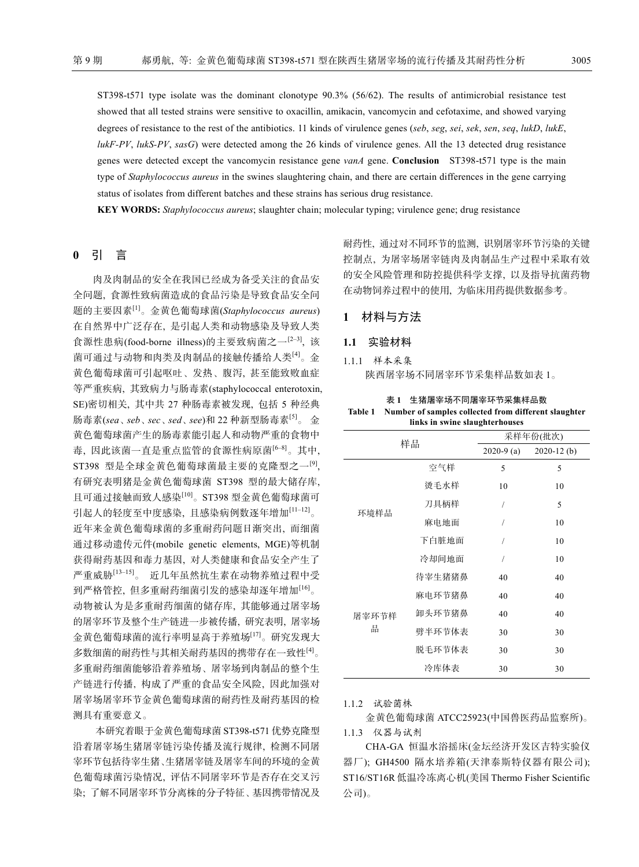ST398-t571 type isolate was the dominant clonotype 90.3% (56/62). The results of antimicrobial resistance test showed that all tested strains were sensitive to oxacillin, amikacin, vancomycin and cefotaxime, and showed varying degrees of resistance to the rest of the antibiotics. 11 kinds of virulence genes (*seb*, *seg*, *sei*, *sek*, *sen*, *seq*, *lukD*, *lukE*, *lukF-PV*, *lukS-PV*, *sasG*) were detected among the 26 kinds of virulence genes. All the 13 detected drug resistance genes were detected except the vancomycin resistance gene *vanA* gene. **Conclusion** ST398-t571 type is the main type of *Staphylococcus aureus* in the swines slaughtering chain, and there are certain differences in the gene carrying status of isolates from different batches and these strains has serious drug resistance.

**KEY WORDS:** *Staphylococcus aureus*; slaughter chain; molecular typing; virulence gene; drug resistance

# **0** 引 言

肉及肉制品的安全在我国已经成为备受关注的食品安 全问题, 食源性致病菌造成的食品污染是导致食品安全问 题的主要因素[1]。金黄色葡萄球菌(*Staphylococcus aureus*) 在自然界中广泛存在, 是引起人类和动物感染及导致人类 食源性患病(food-borne illness)的主要致病菌之一[2‒3], 该 菌可通过与动物和肉类及肉制品的接触传播给人类[4]。金 黄色葡萄球菌可引起呕吐、发热、腹泻, 甚至能致败血症 等严重疾病, 其致病力与肠毒素(staphylococcal enterotoxin, SE)密切相关, 其中共 27 种肠毒素被发现, 包括 5 种经典 肠毒素(*sea*、*seb*、*sec*、*sed*、*see*)和 22 种新型肠毒素[5]。 金 黄色葡萄球菌产生的肠毒素能引起人和动物严重的食物中 毒, 因此该菌一直是重点监管的食源性病原菌[6‒8]。其中, ST398 型是全球金黄色葡萄球菌最主要的克隆型之一<sup>[9]</sup>, 有研究表明猪是金黄色葡萄球菌 ST398 型的最大储存库, 且可通过接触而致人感染[10]。ST398 型金黄色葡萄球菌可 引起人的轻度至中度感染, 且感染病例数逐年增加[11-12]。 近年来金黄色葡萄球菌的多重耐药问题日渐突出, 而细菌 通过移动遗传元件(mobile genetic elements, MGE)等机制 获得耐药基因和毒力基因, 对人类健康和食品安全产生了 严重威胁[13‒15]。 近几年虽然抗生素在动物养殖过程中受 到严格管控, 但多重耐药细菌引发的感染却逐年增加[16]。 动物被认为是多重耐药细菌的储存库, 其能够通过屠宰场 的屠宰环节及整个生产链进一步被传播, 研究表明, 屠宰场 金黄色葡萄球菌的流行率明显高于养殖场[17]。研究发现大 多数细菌的耐药性与其相关耐药基因的携带存在一致性[4]。 多重耐药细菌能够沿着养殖场、屠宰场到肉制品的整个生 产链进行传播, 构成了严重的食品安全风险, 因此加强对 屠宰场屠宰环节金黄色葡萄球菌的耐药性及耐药基因的检 测具有重要意义。

本研究着眼于金黄色葡萄球菌 ST398-t571 优势克隆型 沿着屠宰场生猪屠宰链污染传播及流行规律, 检测不同屠 宰环节包括待宰生猪、生猪屠宰链及屠宰车间的环境的金黄 色葡萄球菌污染情况, 评估不同屠宰环节是否存在交叉污 染; 了解不同屠宰环节分离株的分子特征、基因携带情况及 耐药性, 通过对不同环节的监测, 识别屠宰环节污染的关键 控制点, 为屠宰场屠宰链肉及肉制品生产过程中采取有效 的安全风险管理和防控提供科学支撑, 以及指导抗菌药物 在动物饲养过程中的使用, 为临床用药提供数据参考。

**1** 材料与方法

# **1.1** 实验材料

1.1.1 样本采集 陕西屠宰场不同屠宰环节采集样品数如表 1。

#### 表 **1** 生猪屠宰场不同屠宰环节采集样品数 **Table 1 Number of samples collected from different slaughter links in swine slaughterhouses**

| 样品    |        | 采样年份(批次)     |               |
|-------|--------|--------------|---------------|
|       |        | $2020-9$ (a) | $2020-12$ (b) |
|       | 空气样    | 5            | 5             |
| 环境样品  | 烫毛水样   | 10           | 10            |
|       | 刀具柄样   | 1            | 5             |
|       | 麻电地面   | 1            | 10            |
|       | 下白脏地面  | Ι            | 10            |
|       | 冷却间地面  | 1            | 10            |
|       | 待宰生猪猪鼻 | 40           | 40            |
|       | 麻电环节猪鼻 | 40           | 40            |
| 屠宰环节样 | 卸头环节猪鼻 | 40           | 40            |
| 品     | 劈半环节体表 | 30           | 30            |
|       | 脱毛环节体表 | 30           | 30            |
|       | 冷库体表   | 30           | 30            |

1.1.2 试验菌株

金黄色葡萄球菌 ATCC25923(中国兽医药品监察所)。

1.1.3 仪器与试剂

CHA-GA 恒温水浴摇床(金坛经济开发区吉特实验仪 器厂); GH4500 隔水培养箱(天津泰斯特仪器有限公司); ST16/ST16R 低温冷冻离心机(美国 Thermo Fisher Scientific 公司)。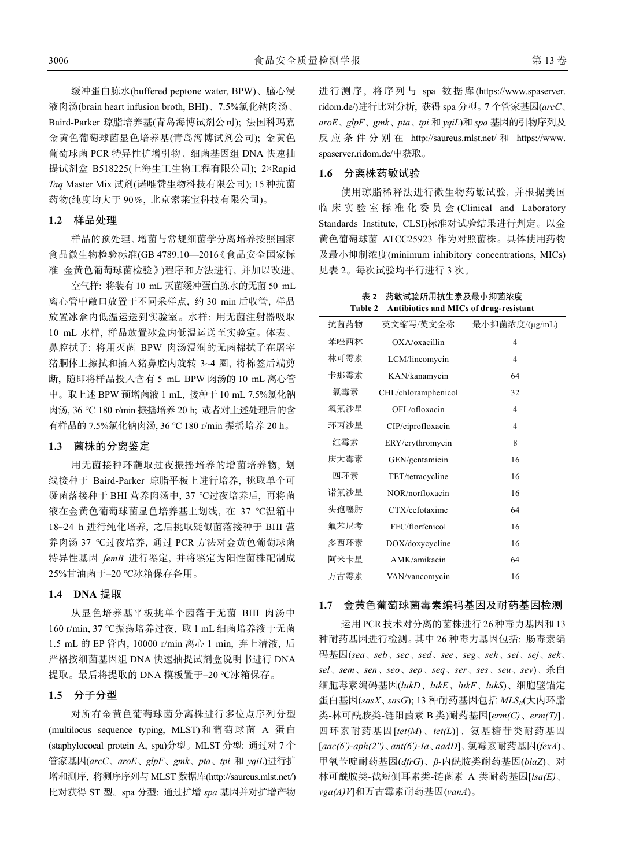缓冲蛋白胨水(buffered peptone water, BPW)、脑心浸 液肉汤(brain heart infusion broth, BHI)、7.5%氯化钠肉汤、 Baird-Parker 琼脂培养基(青岛海博试剂公司); 法国科玛嘉 金黄色葡萄球菌显色培养基(青岛海博试剂公司); 金黄色 葡萄球菌 PCR 特异性扩增引物、细菌基因组 DNA 快速抽 提试剂盒 B518225(上海生工生物工程有限公司); 2×Rapid *Taq* Master Mix 试剂(诺唯赞生物科技有限公司); 15 种抗菌 药物(纯度均大于 90%, 北京索莱宝科技有限公司)。

# **1.2** 样品处理

样品的预处理、增菌与常规细菌学分离培养按照国家 食品微生物检验标准(GB 4789.10—2016《食品安全国家标 准 金黄色葡萄球菌检验》)程序和方法进行, 并加以改进。

空气样: 将装有 10 mL 灭菌缓冲蛋白胨水的无菌 50 mL 离心管中敞口放置于不同采样点, 约 30 min 后收管, 样品 放置冰盒内低温运送到实验室。水样: 用无菌注射器吸取 10 mL 水样, 样品放置冰盒内低温运送至实验室。体表、 鼻腔拭子: 将用灭菌 BPW 肉汤浸润的无菌棉拭子在屠宰 猪胴体上擦拭和插入猪鼻腔内旋转 3~4 圈, 将棉签后端剪 断, 随即将样品投入含有 5 mL BPW 肉汤的 10 mL 离心管 中。取上述 BPW 预增菌液 1 mL, 接种于 10 mL 7.5%氯化钠 肉汤, 36 ℃ 180 r/min 振摇培养 20 h; 或者对上述处理后的含 有样品的 7.5%氯化钠肉汤, 36 ℃ 180 r/min 振摇培养 20 h。

# **1.3** 菌株的分离鉴定

用无菌接种环蘸取过夜振摇培养的增菌培养物, 划 线接种于 Baird-Parker 琼脂平板上进行培养, 挑取单个可 疑菌落接种于 BHI 营养肉汤中, 37 ℃过夜培养后, 再将菌 液在金黄色葡萄球菌显色培养基上划线, 在 37 ℃温箱中 18~24 h 进行纯化培养, 之后挑取疑似菌落接种于 BHI 营 养肉汤 37 ℃过夜培养, 通过 PCR 方法对金黄色葡萄球菌 特异性基因 *femB* 进行鉴定, 并将鉴定为阳性菌株配制成 25%甘油菌于-20 ℃冰箱保存备用。

# **1.4 DNA** 提取

从显色培养基平板挑单个菌落于无菌 BHI 肉汤中 160 r/min, 37 ℃振荡培养过夜, 取 1 mL 细菌培养液于无菌 1.5 mL 的 EP 管内, 10000 r/min 离心 1 min, 弃上清液, 后 严格按细菌基因组 DNA 快速抽提试剂盒说明书进行 DNA 提取。最后将提取的 DNA 模板置于-20 ℃冰箱保存。

# **1.5** 分子分型

对所有金黄色葡萄球菌分离株进行多位点序列分型 (multilocus sequence typing, MLST)和葡萄球菌 A 蛋 白 (staphylococal protein A, spa)分型。MLST 分型: 通过对 7 个 管家基因(*arcC*、*aroE*、*glpF*、*gmk*、*pta*、*tpi* 和 *yqiL*)进行扩 增和测序, 将测序序列与 MLST 数据库(http://saureus.mlst.net/) 比对获得 ST 型。spa 分型: 通过扩增 *spa* 基因并对扩增产物

进行测序, 将序列与 spa 数据库 (https://www.spaserver. ridom.de/)进行比对分析, 获得 spa 分型。7 个管家基因(*arcC*、 *aroE*、*glpF*、*gmk*、*pta*、*tpi* 和 *yqiL*)和 *spa* 基因的引物序列及 反应条件分别在 http://saureus.mlst.net/ 和 https://www. spaserver.ridom.de/中获取。

# **1.6** 分离株药敏试验

使用琼脂稀释法进行微生物药敏试验, 并根据美国 临床实验室标准化委员会 (Clinical and Laboratory Standards Institute, CLSI)标准对试验结果进行判定。以金 黄色葡萄球菌 ATCC25923 作为对照菌株。具体使用药物 及最小抑制浓度(minimum inhibitory concentrations, MICs) 见表 2。每次试验均平行进行 3 次。

表 **2** 药敏试验所用抗生素及最小抑菌浓度 **Table 2 Antibiotics and MICs of drug-resistant** 

| 抗菌药物 | 英文缩写/英文全称           | 最小抑菌浓度/(μg/mL) |
|------|---------------------|----------------|
| 苯唑西林 | OXA/oxacillin       | 4              |
| 林可霉素 | LCM/lincomycin      | 4              |
| 卡那霉素 | KAN/kanamycin       | 64             |
| 氯霉素  | CHL/chloramphenicol | 32             |
| 氧氟沙星 | OFL/ofloxacin       | 4              |
| 环丙沙星 | CIP/ciprofloxacin   | 4              |
| 红霉素  | ERY/erythromycin    | 8              |
| 庆大霉素 | GEN/gentamicin      | 16             |
| 四环素  | TET/tetracycline    | 16             |
| 诺氟沙星 | NOR/norfloxacin     | 16             |
| 头孢噻肟 | CTX/cefotaxime      | 64             |
| 氟苯尼考 | FFC/florfenicol     | 16             |
| 多西环素 | DOX/doxycycline     | 16             |
| 阿米卡星 | AMK/amikacin        | 64             |
| 万古霉素 | VAN/vancomycin      | 16             |

#### **1.7** 金黄色葡萄球菌毒素编码基因及耐药基因检测

运用 PCR 技术对分离的菌株进行 26 种毒力基因和 13 种耐药基因进行检测。其中 26 种毒力基因包括: 肠毒素编 码基因(*sea*、*seb*、*sec*、*sed*、*see*、*seg*、*seh*、*sei*、*sej*、*sek*、 *sel*、*sem*、*sen*、*seo*、*sep*、*seq*、*ser*、*ses*、*seu*、*sev*)、杀白 细胞毒素编码基因(*lukD*、*lukE*、*lukF*、*lukS*)、细胞壁锚定 蛋白基因(sasX、sasG); 13 种耐药基因包括 MLSB(大内环脂 类-林可酰胺类-链阳菌素 B 类)耐药基因[*erm(C)*、*erm(T)*]、 四环素耐药基因[*tet(M*)、*tet(L*)]、氨基糖苷类耐药基因 [*aac(6')-aph(2'')*、*ant(6')-Ia*、*aadD*]、氯霉素耐药基因(*fexA*)、 甲氧苄啶耐药基因(*dfrG*)、*β*-内酰胺类耐药基因(*blaZ*)、对 林可酰胺类-截短侧耳素类-链菌素 A 类耐药基因[*lsa(E)*、 *vga(A)V*]和万古霉素耐药基因(*vanA*)。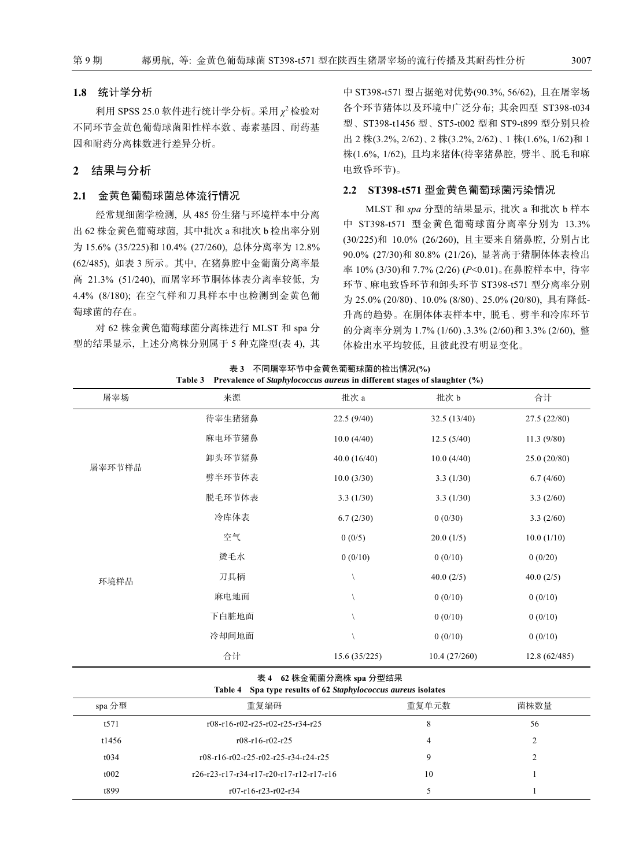#### **1.8** 统计学分析

利用 SPSS 25.0 软件进行统计学分析。采用 *χ*<sup>2</sup> 检验对 不同环节金黄色葡萄球菌阳性样本数、毒素基因、耐药基 因和耐药分离株数进行差异分析。

# **2** 结果与分析

#### **2.1** 金黄色葡萄球菌总体流行情况

经常规细菌学检测, 从 485 份生猪与环境样本中分离 出 62 株金黄色葡萄球菌, 其中批次 a 和批次 b 检出率分别 为 15.6% (35/225)和 10.4% (27/260), 总体分离率为 12.8% (62/485), 如表 3 所示。其中, 在猪鼻腔中金葡菌分离率最 高 21.3% (51/240), 而屠宰环节胴体体表分离率较低, 为 4.4% (8/180); 在空气样和刀具样本中也检测到金黄色葡 萄球菌的存在。

对 62 株金黄色葡萄球菌分离株进行 MLST 和 spa 分 型的结果显示, 上述分离株分别属于 5 种克隆型(表 4), 其 中 ST398-t571 型占据绝对优势(90.3%, 56/62), 且在屠宰场 各个环节猪体以及环境中广泛分布; 其余四型 ST398-t034 型、ST398-t1456 型、ST5-t002 型和 ST9-t899 型分别只检 出 2 株(3.2%, 2/62)、2 株(3.2%, 2/62)、1 株(1.6%, 1/62)和 1 株(1.6%, 1/62), 且均来猪体(待宰猪鼻腔, 劈半、脱毛和麻 电致昏环节)。

# **2.2 ST398-t571** 型金黄色葡萄球菌污染情况

MLST 和 *spa* 分型的结果显示, 批次 a 和批次 b 样本 中 ST398-t571 型金黄色葡萄球菌分离率分别为 13.3% (30/225)和 10.0% (26/260), 且主要来自猪鼻腔, 分别占比 90.0% (27/30)和 80.8% (21/26), 显著高于猪胴体体表检出 率 10% (3/30)和 7.7% (2/26) (*P*<0.01)。在鼻腔样本中, 待宰 环节、麻电致昏环节和卸头环节 ST398-t571 型分离率分别 为 25.0% (20/80)、10.0% (8/80)、25.0% (20/80), 具有降低-升高的趋势。在胴体体表样本中, 脱毛、劈半和冷库环节 的分离率分别为 1.7% (1/60)、3.3% (2/60)和 3.3% (2/60), 整 体检出水平均较低, 且彼此没有明显变化。

| 屠宰场    | 来源     | Trevalence of <i>shaphylococcus</i> antens in unferent stages of shaqmer (70)<br>批次 a | 批次 b         | 合计           |
|--------|--------|---------------------------------------------------------------------------------------|--------------|--------------|
|        | 待宰生猪猪鼻 | 22.5(9/40)                                                                            | 32.5(13/40)  | 27.5(22/80)  |
|        | 麻电环节猪鼻 | 10.0(4/40)                                                                            | 12.5(5/40)   | 11.3(9/80)   |
| 屠宰环节样品 | 卸头环节猪鼻 | 40.0 (16/40)                                                                          | 10.0(4/40)   | 25.0 (20/80) |
|        | 劈半环节体表 | 10.0(3/30)                                                                            | 3.3(1/30)    | 6.7(4/60)    |
|        | 脱毛环节体表 | 3.3(1/30)                                                                             | 3.3(1/30)    | 3.3(2/60)    |
|        | 冷库体表   | 6.7(2/30)                                                                             | 0(0/30)      | 3.3(2/60)    |
|        | 空气     | 0(0/5)                                                                                | 20.0(1/5)    | 10.0(1/10)   |
|        | 烫毛水    | 0(0/10)                                                                               | 0(0/10)      | 0(0/20)      |
| 环境样品   | 刀具柄    |                                                                                       | 40.0(2/5)    | 40.0 $(2/5)$ |
|        | 麻电地面   |                                                                                       | 0(0/10)      | 0(0/10)      |
|        | 下白脏地面  |                                                                                       | 0(0/10)      | 0(0/10)      |
|        | 冷却间地面  |                                                                                       | 0(0/10)      | 0(0/10)      |
|        | 合计     | 15.6(35/225)                                                                          | 10.4(27/260) | 12.8(62/485) |

#### 表 **3** 不同屠宰环节中金黄色葡萄球菌的检出情况**(%) Table 3 Prevalence of** *Staphylococcus aureus* **in different stages of slaughter (%)**

#### 表 **4 62** 株金葡菌分离株 **spa** 分型结果

**Table 4 Spa type results of 62** *Staphylococcus aureus* **isolates** 

| spa 分型 | 重复编码                                    | 重复单元数 | 菌株数量 |
|--------|-----------------------------------------|-------|------|
| t571   | r08-r16-r02-r25-r02-r25-r34-r25         | 8     | 56   |
| t1456  | $r08-r16-r02-r25$                       |       |      |
| t034   | r08-r16-r02-r25-r02-r25-r34-r24-r25     |       |      |
| t002   | r26-r23-r17-r34-r17-r20-r17-r12-r17-r16 | 10    |      |
| t899   | $r07-r16-r23-r02-r34$                   |       |      |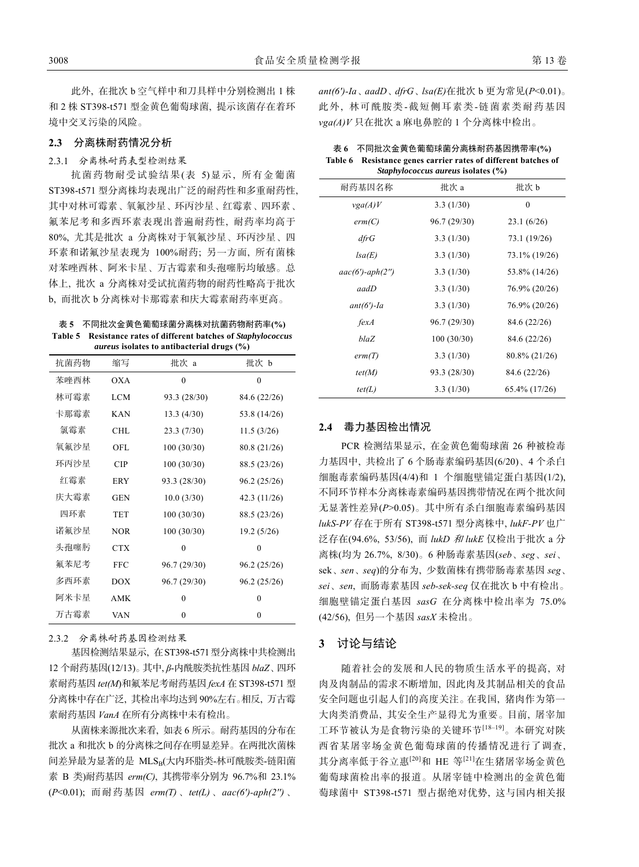此外, 在批次 b 空气样中和刀具样中分别检测出 1 株 和 2 株 ST398-t571 型金黄色葡萄球菌, 提示该菌存在着环 境中交叉污染的风险。

#### **2.3** 分离株耐药情况分析

#### 2.3.1 分离株耐药表型检测结果

抗菌药物耐受试验结果(表 5)显示, 所有金葡菌 ST398-t571 型分离株均表现出广泛的耐药性和多重耐药性, 其中对林可霉素、氧氟沙星、环丙沙星、红霉素、四环素、 氟苯尼考和多西环素表现出普遍耐药性, 耐药率均高于 80%, 尤其是批次 a 分离株对于氧氟沙星、环丙沙星、四 环素和诺氟沙星表现为 100%耐药; 另一方面, 所有菌株 对苯唑西林、阿米卡星、万古霉素和头孢噻肟均敏感。总 体上, 批次 a 分离株对受试抗菌药物的耐药性略高于批次 b, 而批次 b 分离株对卡那霉素和庆大霉素耐药率更高。

表 **5** 不同批次金黄色葡萄球菌分离株对抗菌药物耐药率**(%) Table 5 Resistance rates of different batches of** *Staphylococcus aureus* **isolates to antibacterial drugs (%)** 

| 缩写         | 批次 a         | 批次 b         |
|------------|--------------|--------------|
| OXA        | $\theta$     | $\theta$     |
| <b>LCM</b> | 93.3 (28/30) | 84.6 (22/26) |
| <b>KAN</b> | 13.3(4/30)   | 53.8 (14/26) |
| CHL        | 23.3(7/30)   | 11.5(3/26)   |
| OFL        | 100(30/30)   | 80.8 (21/26) |
| CIP        | 100(30/30)   | 88.5 (23/26) |
| <b>ERY</b> | 93.3 (28/30) | 96.2 (25/26) |
| <b>GEN</b> | 10.0(3/30)   | 42.3 (11/26) |
| <b>TET</b> | 100(30/30)   | 88.5 (23/26) |
| <b>NOR</b> | 100(30/30)   | 19.2(5/26)   |
| <b>CTX</b> | $\theta$     | $\theta$     |
| <b>FFC</b> | 96.7 (29/30) | 96.2 (25/26) |
| <b>DOX</b> | 96.7 (29/30) | 96.2 (25/26) |
| <b>AMK</b> | $\theta$     | 0            |
| <b>VAN</b> | 0            | 0            |
|            |              |              |

#### 2.3.2 分离株耐药基因检测结果

基因检测结果显示, 在ST398-t571型分离株中共检测出 12 个耐药基因(12/13)。其中, *β*-内酰胺类抗性基因 *blaZ*、四环 素耐药基因 *tet(M*)和氟苯尼考耐药基因 *fexA* 在 ST398-t571 型 分离株中存在广泛, 其检出率均达到 90%左右。相反, 万古霉 素耐药基因 *VanA* 在所有分离株中未有检出。

从菌株来源批次来看, 如表 6 所示。耐药基因的分布在 批次 a 和批次 b 的分离株之间存在明显差异。在两批次菌株 间差异最为显著的是 MLSB(大内环脂类-林可酰胺类-链阳菌 素 B 类)耐药基因 *erm(C)*, 其携带率分别为 96.7%和 23.1% (*P*<0.01); 而耐药基因 *erm(T)*、*tet(L)*、*aac(6')-aph(2'')*、

*ant(6')-Ia*、*aadD*、*dfrG*、*lsa(E)*在批次 b 更为常见(*P*<0.01)。 此 外, 林可酰胺类-截短侧耳素类-链菌素类耐药基因 *vga(A)V* 只在批次 a 麻电鼻腔的 1 个分离株中检出。

| 表 6 不同批次金黄色葡萄球菌分离株耐药基因携带率(%)                                   |
|----------------------------------------------------------------|
| Table 6 Resistance genes carrier rates of different batches of |
| <i>Staphylococcus aureus isolates</i> (%)                      |

| 5.491              |              |               |  |
|--------------------|--------------|---------------|--|
| 耐药基因名称             | 批次 a         | 批次 b          |  |
| vga(A)V            | 3.3(1/30)    | $\mathbf{0}$  |  |
| erm(C)             | 96.7 (29/30) | 23.1(6/26)    |  |
| dfrG               | 3.3(1/30)    | 73.1 (19/26)  |  |
| lsa(E)             | 3.3(1/30)    | 73.1% (19/26) |  |
| $aac(6')-aph(2'')$ | 3.3(1/30)    | 53.8% (14/26) |  |
| aadD               | 3.3(1/30)    | 76.9% (20/26) |  |
| $ant(6')$ -Ia      | 3.3(1/30)    | 76.9% (20/26) |  |
| fexA               | 96.7 (29/30) | 84.6 (22/26)  |  |
| blaZ               | 100(30/30)   | 84.6 (22/26)  |  |
| erm(T)             | 3.3(1/30)    | 80.8% (21/26) |  |
| tet(M)             | 93.3 (28/30) | 84.6 (22/26)  |  |
| tet(L)             | 3.3(1/30)    | 65.4% (17/26) |  |

# **2.4** 毒力基因检出情况

PCR 检测结果显示, 在金黄色葡萄球菌 26 种被检毒 力基因中, 共检出了 6 个肠毒素编码基因(6/20)、4 个杀白 细胞毒素编码基因(4/4)和 1 个细胞壁锚定蛋白基因(1/2), 不同环节样本分离株毒素编码基因携带情况在两个批次间 无显著性差异(*P*>0.05)。其中所有杀白细胞毒素编码基因 *lukS-PV* 存在于所有 ST398-t571 型分离株中, *lukF-PV* 也广 泛存在(94.6%, 53/56), 而 *lukD* 和 *lukE* 仅检出于批次 a 分 离株(均为 26.7%, 8/30)。6 种肠毒素基因(*seb*、*seg*、*sei*、 sek、*sen*、*seq*)的分布为, 少数菌株有携带肠毒素基因 *seg*、 *sei*、*sen*, 而肠毒素基因 *seb-sek-seq* 仅在批次 b 中有检出。 细胞壁锚定蛋白基因 *sasG* 在分离株中检出率为 75.0% (42/56), 但另一个基因 *sasX* 未检出。

#### **3** 讨论与结论

随着社会的发展和人民的物质生活水平的提高, 对 肉及肉制品的需求不断增加, 因此肉及其制品相关的食品 安全问题也引起人们的高度关注。在我国, 猪肉作为第一 大肉类消费品, 其安全生产显得尤为重要。目前, 屠宰加 工环节被认为是食物污染的关键环节[18‒19]。本研究对陕 西省某屠宰场金黄色葡萄球菌的传播情况进行了调查, 其分离率低于谷立惠<sup>[20]</sup>和 HE 等<sup>[21]</sup>在生猪屠宰场金黄色 葡萄球菌检出率的报道。从屠宰链中检测出的金黄色葡 萄球菌中 ST398-t571 型占据绝对优势, 这与国内相关报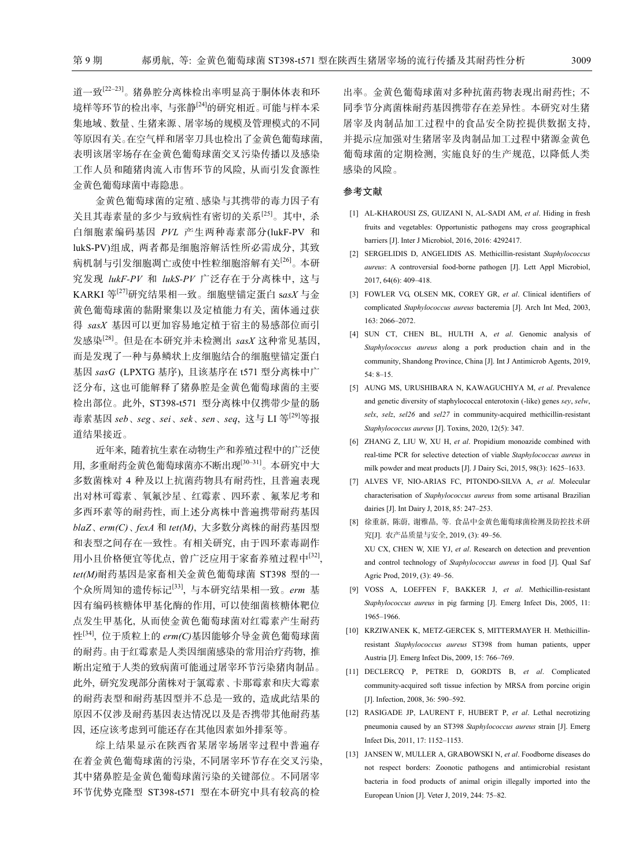道一致[22-23]。猪鼻腔分离株检出率明显高于胴体体表和环 境样等环节的检出率, 与张静<sup>[24]</sup>的研究相近。可能与样本采 集地域、数量、生猪来源、屠宰场的规模及管理模式的不同 等原因有关。在空气样和屠宰刀具也检出了金黄色葡萄球菌, 表明该屠宰场存在金黄色葡萄球菌交叉污染传播以及感染 工作人员和随猪肉流入市售环节的风险, 从而引发食源性 金黄色葡萄球菌中毒隐患。

金黄色葡萄球菌的定殖、感染与其携带的毒力因子有 关且其毒素量的多少与致病性有密切的关系[25]。其中, 杀 白细胞素编码基因 *PVL* 产生两种毒素部分(lukF-PV 和 lukS-PV)组成, 两者都是细胞溶解活性所必需成分, 其致 病机制与引发细胞凋亡或使中性粒细胞溶解有关[26]。本研 究发现 *lukF-PV* 和 *lukS-PV* 广泛存在于分离株中, 这与 KARKI 等[27]研究结果相一致。细胞壁锚定蛋白 s*asX* 与金 黄色葡萄球菌的黏附聚集以及定植能力有关, 菌体通过获 得 *sasX* 基因可以更加容易地定植于宿主的易感部位而引 发感染[28]。但是在本研究并未检测出 *sasX* 这种常见基因, 而是发现了一种与鼻鳞状上皮细胞结合的细胞壁锚定蛋白 基因 *sasG* (LPXTG 基序), 且该基序在 t571 型分离株中广 泛分布, 这也可能解释了猪鼻腔是金黄色葡萄球菌的主要 检出部位。此外, ST398-t571 型分离株中仅携带少量的肠 毒素基因 *seb*、*seg*、*sei*、*sek*、*sen*、*seq*, 这与 LI 等[29]等报 道结果接近。

近年来, 随着抗生素在动物生产和养殖过程中的广泛使 用, 多重耐药金黄色葡萄球菌亦不断出现[30‒31]。本研究中大 多数菌株对 4 种及以上抗菌药物具有耐药性, 且普遍表现 出对林可霉素、氧氟沙星、红霉素、四环素、氟苯尼考和 多西环素等的耐药性, 而上述分离株中普遍携带耐药基因 *blaZ*、*erm(C)*、*fexA* 和 *tet(M)*, 大多数分离株的耐药基因型 和表型之间存在一致性。有相关研究, 由于四环素毒副作 用小且价格便宜等优点, 曾广泛应用于家畜养殖过程中[32], *tet(M)*耐药基因是家畜相关金黄色葡萄球菌 ST398 型的一 个众所周知的遗传标记[33], 与本研究结果相一致。*erm* 基 因有编码核糖体甲基化酶的作用, 可以使细菌核糖体靶位 点发生甲基化, 从而使金黄色葡萄球菌对红霉素产生耐药 性[34], 位于质粒上的 *erm(C)*基因能够介导金黄色葡萄球菌 的耐药。由于红霉素是人类因细菌感染的常用治疗药物, 推 断出定殖于人类的致病菌可能通过屠宰环节污染猪肉制品。 此外, 研究发现部分菌株对于氯霉素、卡那霉素和庆大霉素 的耐药表型和耐药基因型并不总是一致的, 造成此结果的 原因不仅涉及耐药基因表达情况以及是否携带其他耐药基 因, 还应该考虑到可能还存在其他因素如外排泵等。

综上结果显示在陕西省某屠宰场屠宰过程中普遍存 在着金黄色葡萄球菌的污染, 不同屠宰环节存在交叉污染, 其中猪鼻腔是金黄色葡萄球菌污染的关键部位。不同屠宰 环节优势克隆型 ST398-t571 型在本研究中具有较高的检

出率。金黄色葡萄球菌对多种抗菌药物表现出耐药性; 不 同季节分离菌株耐药基因携带存在差异性。本研究对生猪 屠宰及肉制品加工过程中的食品安全防控提供数据支持, 并提示应加强对生猪屠宰及肉制品加工过程中猪源金黄色 葡萄球菌的定期检测, 实施良好的生产规范, 以降低人类 感染的风险。

### 参考文献

- [1] AL-KHAROUSI ZS, GUIZANI N, AL-SADI AM, *et al*. Hiding in fresh fruits and vegetables: Opportunistic pathogens may cross geographical barriers [J]. Inter J Microbiol, 2016, 2016: 4292417.
- [2] SERGELIDIS D, ANGELIDIS AS. Methicillin-resistant *Staphylococcus aureus*: A controversial food-borne pathogen [J]. Lett Appl Microbiol, 2017, 64(6): 409‒418.
- [3] FOWLER VG, OLSEN MK, COREY GR, *et al*. Clinical identifiers of complicated *Staphylococcus aureus* bacteremia [J]. Arch Int Med, 2003, 163: 2066‒2072.
- [4] SUN CT, CHEN BL, HULTH A, *et al*. Genomic analysis of *Staphylococcus aureus* along a pork production chain and in the community, Shandong Province, China [J]. Int J Antimicrob Agents, 2019, 54: 8‒15.
- [5] AUNG MS, URUSHIBARA N, KAWAGUCHIYA M, *et al*. Prevalence and genetic diversity of staphylococcal enterotoxin (-like) genes *sey*, *selw*, *selx*, *selz*, *sel26* and *sel27* in community-acquired methicillin-resistant *Staphylococcus aureus* [J]. Toxins, 2020, 12(5): 347.
- [6] ZHANG Z, LIU W, XU H, *et al*. Propidium monoazide combined with real-time PCR for selective detection of viable *Staphylococcus aureus* in milk powder and meat products [J]. J Dairy Sci, 2015, 98(3): 1625–1633.
- [7] ALVES VF, NIO-ARIAS FC, PITONDO-SILVA A, *et al*. Molecular characterisation of *Staphylococcus aureus* from some artisanal Brazilian dairies [J]. Int Dairy J, 2018, 85: 247-253.
- [8] 徐重新, 陈蔚, 谢雅晶, 等. 食品中金黄色葡萄球菌检测及防控技术研 究[J]. 农产品质量与安全, 2019, (3): 49‒56. XU CX, CHEN W, XIE YJ, *et al*. Research on detection and prevention and control technology of *Staphylococcus aureus* in food [J]. Qual Saf Agric Prod, 2019, (3): 49-56.
- [9] VOSS A, LOEFFEN F, BAKKER J, *et al*. Methicillin-resistant *Staphylococcus aureus* in pig farming [J]. Emerg Infect Dis, 2005, 11: 1965‒1966.
- [10] KRZIWANEK K, METZ-GERCEK S, MITTERMAYER H. Methicillinresistant *Staphylococcus aureus* ST398 from human patients, upper Austria [J]. Emerg Infect Dis, 2009, 15: 766-769.
- [11] DECLERCQ P, PETRE D, GORDTS B, *et al*. Complicated community-acquired soft tissue infection by MRSA from porcine origin [J]. Infection, 2008, 36: 590-592.
- [12] RASIGADE JP, LAURENT F, HUBERT P, *et al*. Lethal necrotizing pneumonia caused by an ST398 *Staphylococcus aureus* strain [J]. Emerg Infect Dis, 2011, 17: 1152‒1153.
- [13] JANSEN W, MULLER A, GRABOWSKI N, *et al*. Foodborne diseases do not respect borders: Zoonotic pathogens and antimicrobial resistant bacteria in food products of animal origin illegally imported into the European Union [J]. Veter J, 2019, 244: 75‒82.